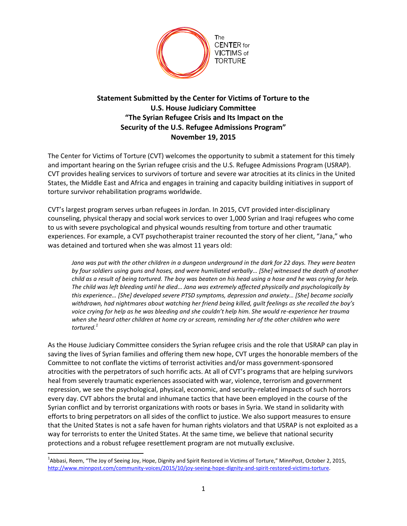

## **Statement Submitted by the Center for Victims of Torture to the U.S. House Judiciary Committee "The Syrian Refugee Crisis and Its Impact on the Security of the U.S. Refugee Admissions Program" November 19, 2015**

The Center for Victims of Torture (CVT) welcomes the opportunity to submit a statement for this timely and important hearing on the Syrian refugee crisis and the U.S. Refugee Admissions Program (USRAP). CVT provides healing services to survivors of torture and severe war atrocities at its clinics in the United States, the Middle East and Africa and engages in training and capacity building initiatives in support of torture survivor rehabilitation programs worldwide.

CVT's largest program serves urban refugees in Jordan. In 2015, CVT provided inter-disciplinary counseling, physical therapy and social work services to over 1,000 Syrian and Iraqi refugees who come to us with severe psychological and physical wounds resulting from torture and other traumatic experiences. For example, a CVT psychotherapist trainer recounted the story of her client, "Jana," who was detained and tortured when she was almost 11 years old:

*Jana was put with the other children in a dungeon underground in the dark for 22 days. They were beaten by four soldiers using guns and hoses, and were humiliated verbally… [She] witnessed the death of another child as a result of being tortured. The boy was beaten on his head using a hose and he was crying for help. The child was left bleeding until he died… Jana was extremely affected physically and psychologically by this experience… [She] developed severe PTSD symptoms, depression and anxiety… [She] became socially withdrawn, had nightmares about watching her friend being killed, guilt feelings as she recalled the boy's voice crying for help as he was bleeding and she couldn't help him. She would re-experience her trauma when she heard other children at home cry or scream, reminding her of the other children who were tortured.<sup>1</sup>*

As the House Judiciary Committee considers the Syrian refugee crisis and the role that USRAP can play in saving the lives of Syrian families and offering them new hope, CVT urges the honorable members of the Committee to not conflate the victims of terrorist activities and/or mass government-sponsored atrocities with the perpetrators of such horrific acts. At all of CVT's programs that are helping survivors heal from severely traumatic experiences associated with war, violence, terrorism and government repression, we see the psychological, physical, economic, and security-related impacts of such horrors every day. CVT abhors the brutal and inhumane tactics that have been employed in the course of the Syrian conflict and by terrorist organizations with roots or bases in Syria. We stand in solidarity with efforts to bring perpetrators on all sides of the conflict to justice. We also support measures to ensure that the United States is not a safe haven for human rights violators and that USRAP is not exploited as a way for terrorists to enter the United States. At the same time, we believe that national security protections and a robust refugee resettlement program are not mutually exclusive.

 $\overline{a}$ 

<sup>&</sup>lt;sup>1</sup>Abbasi, Reem, "The Joy of Seeing Joy, Hope, Dignity and Spirit Restored in Victims of Torture," MinnPost, October 2, 2015, [http://www.minnpost.com/community-voices/2015/10/joy-seeing-hope-dignity-and-spirit-restored-victims-torture.](http://www.minnpost.com/community-voices/2015/10/joy-seeing-hope-dignity-and-spirit-restored-victims-torture)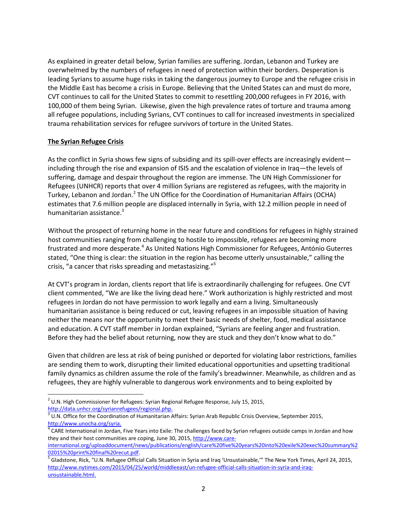As explained in greater detail below, Syrian families are suffering. Jordan, Lebanon and Turkey are overwhelmed by the numbers of refugees in need of protection within their borders. Desperation is leading Syrians to assume huge risks in taking the dangerous journey to Europe and the refugee crisis in the Middle East has become a crisis in Europe. Believing that the United States can and must do more, CVT continues to call for the United States to commit to resettling 200,000 refugees in FY 2016, with 100,000 of them being Syrian. Likewise, given the high prevalence rates of torture and trauma among all refugee populations, including Syrians, CVT continues to call for increased investments in specialized trauma rehabilitation services for refugee survivors of torture in the United States.

## **The Syrian Refugee Crisis**

As the conflict in Syria shows few signs of subsiding and its spill-over effects are increasingly evident including through the rise and expansion of ISIS and the escalation of violence in Iraq—the levels of suffering, damage and despair throughout the region are immense. The UN High Commissioner for Refugees (UNHCR) reports that over 4 million Syrians are registered as refugees, with the majority in Turkey, Lebanon and Jordan.<sup>2</sup> The UN Office for the Coordination of Humanitarian Affairs (OCHA) estimates that 7.6 million people are displaced internally in Syria, with 12.2 million people in need of humanitarian assistance. $3$ 

Without the prospect of returning home in the near future and conditions for refugees in highly strained host communities ranging from challenging to hostile to impossible, refugees are becoming more frustrated and more desperate.<sup>4</sup> As United Nations High Commissioner for Refugees, António Guterres stated, "One thing is clear: the situation in the region has become utterly unsustainable," calling the crisis, "a cancer that risks spreading and metastasizing."<sup>5</sup>

At CVT's program in Jordan, clients report that life is extraordinarily challenging for refugees. One CVT client commented, "We are like the living dead here." Work authorization is highly restricted and most refugees in Jordan do not have permission to work legally and earn a living. Simultaneously humanitarian assistance is being reduced or cut, leaving refugees in an impossible situation of having neither the means nor the opportunity to meet their basic needs of shelter, food, medical assistance and education. A CVT staff member in Jordan explained, "Syrians are feeling anger and frustration. Before they had the belief about returning, now they are stuck and they don't know what to do."

Given that children are less at risk of being punished or deported for violating labor restrictions, families are sending them to work, disrupting their limited educational opportunities and upsetting traditional family dynamics as children assume the role of the family's breadwinner. Meanwhile, as children and as refugees, they are highly vulnerable to dangerous work environments and to being exploited by

 $\overline{\phantom{a}}$  $^2$  U.N. High Commissioner for Refugees: Syrian Regional Refugee Response, July 15, 2015, [http://data.unhcr.org/syrianrefugees/regional.php.](http://data.unhcr.org/syrianrefugees/regional.php) 

 $3$  U.N. Office for the Coordination of Humanitarian Affairs: Syrian Arab Republic Crisis Overview, September 2015, [http://www.unocha.org/syria.](http://www.unocha.org/syria) 

<sup>&</sup>lt;sup>4</sup> CARE International in Jordan, Five Years into Exile: The challenges faced by Syrian refugees outside camps in Jordan and how they and their host communities are coping, June 30, 2015[, http://www.care](http://www.care-international.org/uploaddocument/news/publications/english/care%20five%20years%20into%20exile%20exec%20summary%202015%20print%20final%20recut.pdf)[international.org/uploaddocument/news/publications/english/care%20five%20years%20into%20exile%20exec%20summary%2](http://www.care-international.org/uploaddocument/news/publications/english/care%20five%20years%20into%20exile%20exec%20summary%202015%20print%20final%20recut.pdf)

[<sup>02015%20</sup>print%20final%20recut.pdf.](http://www.care-international.org/uploaddocument/news/publications/english/care%20five%20years%20into%20exile%20exec%20summary%202015%20print%20final%20recut.pdf)

Gladstone, Rick, "U.N. Refugee Official Calls Situation in Syria and Iraq 'Unsustainable,'" The New York Times, April 24, 2015, [http://www.nytimes.com/2015/04/25/world/middleeast/un-refugee-official-calls-situation-in-syria-and-iraq](http://www.nytimes.com/2015/04/25/world/middleeast/un-refugee-official-calls-situation-in-syria-and-iraq-unsustainable.html)[unsustainable.html.](http://www.nytimes.com/2015/04/25/world/middleeast/un-refugee-official-calls-situation-in-syria-and-iraq-unsustainable.html)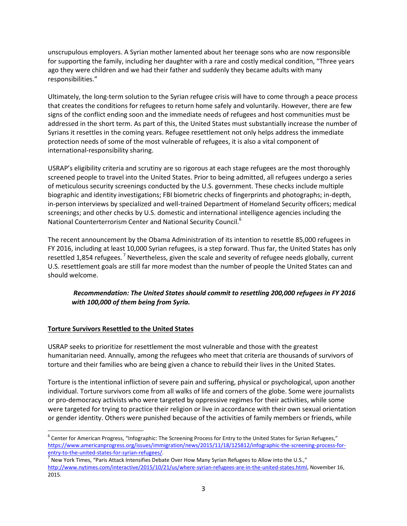unscrupulous employers. A Syrian mother lamented about her teenage sons who are now responsible for supporting the family, including her daughter with a rare and costly medical condition, "Three years ago they were children and we had their father and suddenly they became adults with many responsibilities."

Ultimately, the long-term solution to the Syrian refugee crisis will have to come through a peace process that creates the conditions for refugees to return home safely and voluntarily. However, there are few signs of the conflict ending soon and the immediate needs of refugees and host communities must be addressed in the short term. As part of this, the United States must substantially increase the number of Syrians it resettles in the coming years. Refugee resettlement not only helps address the immediate protection needs of some of the most vulnerable of refugees, it is also a vital component of international-responsibility sharing.

USRAP's eligibility criteria and scrutiny are so rigorous at each stage refugees are the most thoroughly screened people to travel into the United States. Prior to being admitted, all refugees undergo a series of meticulous security screenings conducted by the U.S. government. These checks include multiple biographic and identity investigations; FBI biometric checks of fingerprints and photographs; in-depth, in-person interviews by specialized and well-trained Department of Homeland Security officers; medical screenings; and other checks by U.S. domestic and international intelligence agencies including the National Counterterrorism Center and National Security Council.<sup>6</sup>

The recent announcement by the Obama Administration of its intention to resettle 85,000 refugees in FY 2016, including at least 10,000 Syrian refugees, is a step forward. Thus far, the United States has only resettled 1,854 refugees.<sup>7</sup> Nevertheless, given the scale and severity of refugee needs globally, current U.S. resettlement goals are still far more modest than the number of people the United States can and should welcome.

## *Recommendation: The United States should commit to resettling 200,000 refugees in FY 2016 with 100,000 of them being from Syria.*

## **Torture Survivors Resettled to the United States**

 $\overline{\phantom{a}}$ 

USRAP seeks to prioritize for resettlement the most vulnerable and those with the greatest humanitarian need. Annually, among the refugees who meet that criteria are thousands of survivors of torture and their families who are being given a chance to rebuild their lives in the United States.

Torture is the intentional infliction of severe pain and suffering, physical or psychological, upon another individual. Torture survivors come from all walks of life and corners of the globe. Some were journalists or pro-democracy activists who were targeted by oppressive regimes for their activities, while some were targeted for trying to practice their religion or live in accordance with their own sexual orientation or gender identity. Others were punished because of the activities of family members or friends, while

 $^6$  Center for American Progress, "Infographic: The Screening Process for Entry to the United States for Syrian Refugees," [https://www.americanprogress.org/issues/immigration/news/2015/11/18/125812/infographic-the-screening-process-for](https://www.americanprogress.org/issues/immigration/news/2015/11/18/125812/infographic-the-screening-process-for-entry-to-the-united-states-for-syrian-refugees/)[entry-to-the-united-states-for-syrian-refugees/.](https://www.americanprogress.org/issues/immigration/news/2015/11/18/125812/infographic-the-screening-process-for-entry-to-the-united-states-for-syrian-refugees/) 7

New York Times, "Paris Attack Intensifies Debate Over How Many Syrian Refugees to Allow into the U.S.," [http://www.nytimes.com/interactive/2015/10/21/us/where-syrian-refugees-are-in-the-united-states.html,](http://www.nytimes.com/interactive/2015/10/21/us/where-syrian-refugees-are-in-the-united-states.html) November 16, 2015.